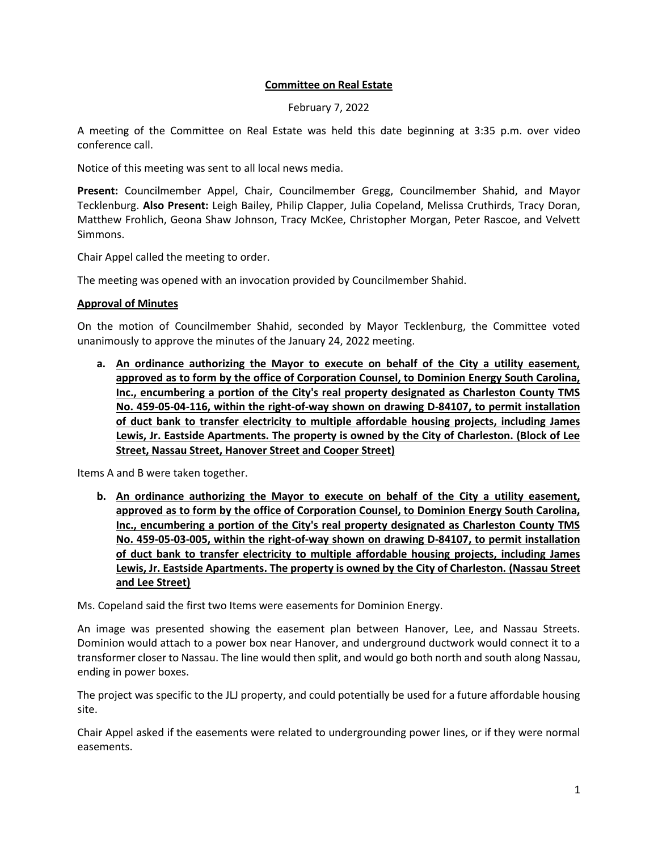## **Committee on Real Estate**

February 7, 2022

A meeting of the Committee on Real Estate was held this date beginning at 3:35 p.m. over video conference call.

Notice of this meeting was sent to all local news media.

**Present:** Councilmember Appel, Chair, Councilmember Gregg, Councilmember Shahid, and Mayor Tecklenburg. **Also Present:** Leigh Bailey, Philip Clapper, Julia Copeland, Melissa Cruthirds, Tracy Doran, Matthew Frohlich, Geona Shaw Johnson, Tracy McKee, Christopher Morgan, Peter Rascoe, and Velvett Simmons.

Chair Appel called the meeting to order.

The meeting was opened with an invocation provided by Councilmember Shahid.

## **Approval of Minutes**

On the motion of Councilmember Shahid, seconded by Mayor Tecklenburg, the Committee voted unanimously to approve the minutes of the January 24, 2022 meeting.

**a. An ordinance authorizing the Mayor to execute on behalf of the City a utility easement, approved as to form by the office of Corporation Counsel, to Dominion Energy South Carolina, Inc., encumbering a portion of the City's real property designated as Charleston County TMS No. 459-05-04-116, within the right-of-way shown on drawing D-84107, to permit installation of duct bank to transfer electricity to multiple affordable housing projects, including James Lewis, Jr. Eastside Apartments. The property is owned by the City of Charleston. (Block of Lee Street, Nassau Street, Hanover Street and Cooper Street)**

Items A and B were taken together.

**b. An ordinance authorizing the Mayor to execute on behalf of the City a utility easement, approved as to form by the office of Corporation Counsel, to Dominion Energy South Carolina, Inc., encumbering a portion of the City's real property designated as Charleston County TMS No. 459-05-03-005, within the right-of-way shown on drawing D-84107, to permit installation of duct bank to transfer electricity to multiple affordable housing projects, including James Lewis, Jr. Eastside Apartments. The property is owned by the City of Charleston. (Nassau Street and Lee Street)**

Ms. Copeland said the first two Items were easements for Dominion Energy.

An image was presented showing the easement plan between Hanover, Lee, and Nassau Streets. Dominion would attach to a power box near Hanover, and underground ductwork would connect it to a transformer closer to Nassau. The line would then split, and would go both north and south along Nassau, ending in power boxes.

The project was specific to the JLJ property, and could potentially be used for a future affordable housing site.

Chair Appel asked if the easements were related to undergrounding power lines, or if they were normal easements.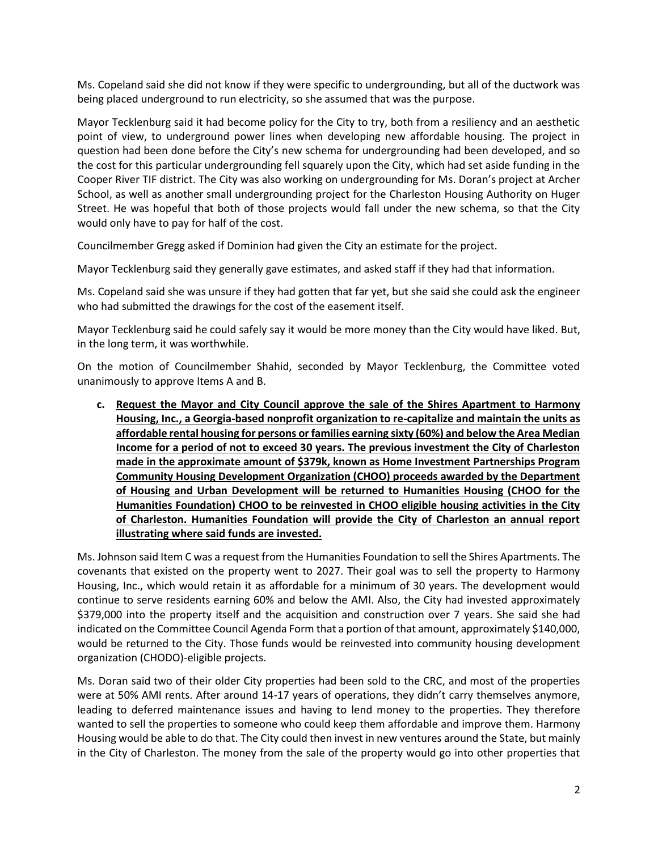Ms. Copeland said she did not know if they were specific to undergrounding, but all of the ductwork was being placed underground to run electricity, so she assumed that was the purpose.

Mayor Tecklenburg said it had become policy for the City to try, both from a resiliency and an aesthetic point of view, to underground power lines when developing new affordable housing. The project in question had been done before the City's new schema for undergrounding had been developed, and so the cost for this particular undergrounding fell squarely upon the City, which had set aside funding in the Cooper River TIF district. The City was also working on undergrounding for Ms. Doran's project at Archer School, as well as another small undergrounding project for the Charleston Housing Authority on Huger Street. He was hopeful that both of those projects would fall under the new schema, so that the City would only have to pay for half of the cost.

Councilmember Gregg asked if Dominion had given the City an estimate for the project.

Mayor Tecklenburg said they generally gave estimates, and asked staff if they had that information.

Ms. Copeland said she was unsure if they had gotten that far yet, but she said she could ask the engineer who had submitted the drawings for the cost of the easement itself.

Mayor Tecklenburg said he could safely say it would be more money than the City would have liked. But, in the long term, it was worthwhile.

On the motion of Councilmember Shahid, seconded by Mayor Tecklenburg, the Committee voted unanimously to approve Items A and B.

**c. Request the Mayor and City Council approve the sale of the Shires Apartment to Harmony Housing, Inc., a Georgia-based nonprofit organization to re-capitalize and maintain the units as affordable rental housing for persons or families earning sixty (60%) and below the Area Median Income for a period of not to exceed 30 years. The previous investment the City of Charleston made in the approximate amount of \$379k, known as Home Investment Partnerships Program Community Housing Development Organization (CHOO) proceeds awarded by the Department of Housing and Urban Development will be returned to Humanities Housing (CHOO for the Humanities Foundation) CHOO to be reinvested in CHOO eligible housing activities in the City of Charleston. Humanities Foundation will provide the City of Charleston an annual report illustrating where said funds are invested.**

Ms. Johnson said Item C was a request from the Humanities Foundation to sell the Shires Apartments. The covenants that existed on the property went to 2027. Their goal was to sell the property to Harmony Housing, Inc., which would retain it as affordable for a minimum of 30 years. The development would continue to serve residents earning 60% and below the AMI. Also, the City had invested approximately \$379,000 into the property itself and the acquisition and construction over 7 years. She said she had indicated on the Committee Council Agenda Form that a portion of that amount, approximately \$140,000, would be returned to the City. Those funds would be reinvested into community housing development organization (CHODO)-eligible projects.

Ms. Doran said two of their older City properties had been sold to the CRC, and most of the properties were at 50% AMI rents. After around 14-17 years of operations, they didn't carry themselves anymore, leading to deferred maintenance issues and having to lend money to the properties. They therefore wanted to sell the properties to someone who could keep them affordable and improve them. Harmony Housing would be able to do that. The City could then invest in new ventures around the State, but mainly in the City of Charleston. The money from the sale of the property would go into other properties that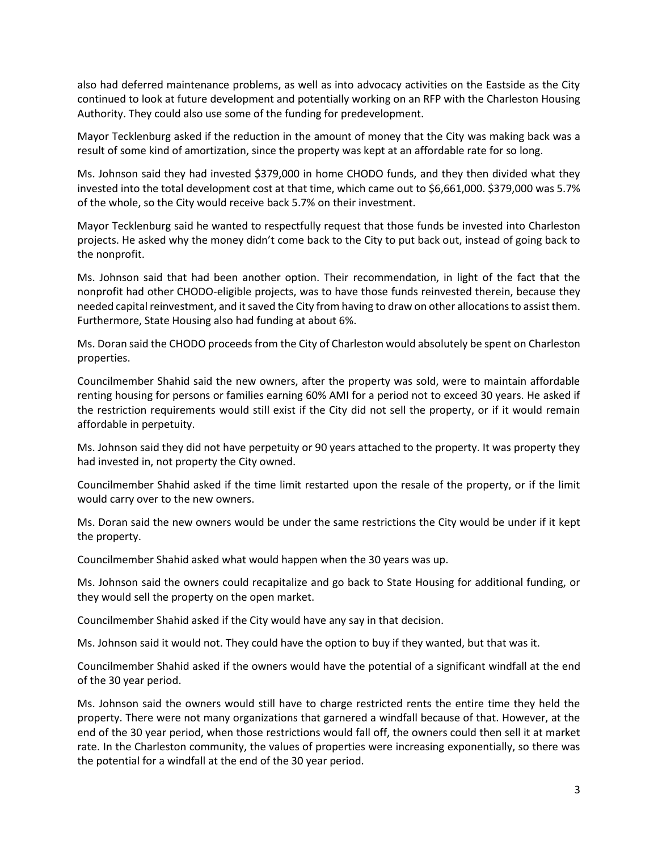also had deferred maintenance problems, as well as into advocacy activities on the Eastside as the City continued to look at future development and potentially working on an RFP with the Charleston Housing Authority. They could also use some of the funding for predevelopment.

Mayor Tecklenburg asked if the reduction in the amount of money that the City was making back was a result of some kind of amortization, since the property was kept at an affordable rate for so long.

Ms. Johnson said they had invested \$379,000 in home CHODO funds, and they then divided what they invested into the total development cost at that time, which came out to \$6,661,000. \$379,000 was 5.7% of the whole, so the City would receive back 5.7% on their investment.

Mayor Tecklenburg said he wanted to respectfully request that those funds be invested into Charleston projects. He asked why the money didn't come back to the City to put back out, instead of going back to the nonprofit.

Ms. Johnson said that had been another option. Their recommendation, in light of the fact that the nonprofit had other CHODO-eligible projects, was to have those funds reinvested therein, because they needed capital reinvestment, and it saved the City from having to draw on other allocations to assist them. Furthermore, State Housing also had funding at about 6%.

Ms. Doran said the CHODO proceeds from the City of Charleston would absolutely be spent on Charleston properties.

Councilmember Shahid said the new owners, after the property was sold, were to maintain affordable renting housing for persons or families earning 60% AMI for a period not to exceed 30 years. He asked if the restriction requirements would still exist if the City did not sell the property, or if it would remain affordable in perpetuity.

Ms. Johnson said they did not have perpetuity or 90 years attached to the property. It was property they had invested in, not property the City owned.

Councilmember Shahid asked if the time limit restarted upon the resale of the property, or if the limit would carry over to the new owners.

Ms. Doran said the new owners would be under the same restrictions the City would be under if it kept the property.

Councilmember Shahid asked what would happen when the 30 years was up.

Ms. Johnson said the owners could recapitalize and go back to State Housing for additional funding, or they would sell the property on the open market.

Councilmember Shahid asked if the City would have any say in that decision.

Ms. Johnson said it would not. They could have the option to buy if they wanted, but that was it.

Councilmember Shahid asked if the owners would have the potential of a significant windfall at the end of the 30 year period.

Ms. Johnson said the owners would still have to charge restricted rents the entire time they held the property. There were not many organizations that garnered a windfall because of that. However, at the end of the 30 year period, when those restrictions would fall off, the owners could then sell it at market rate. In the Charleston community, the values of properties were increasing exponentially, so there was the potential for a windfall at the end of the 30 year period.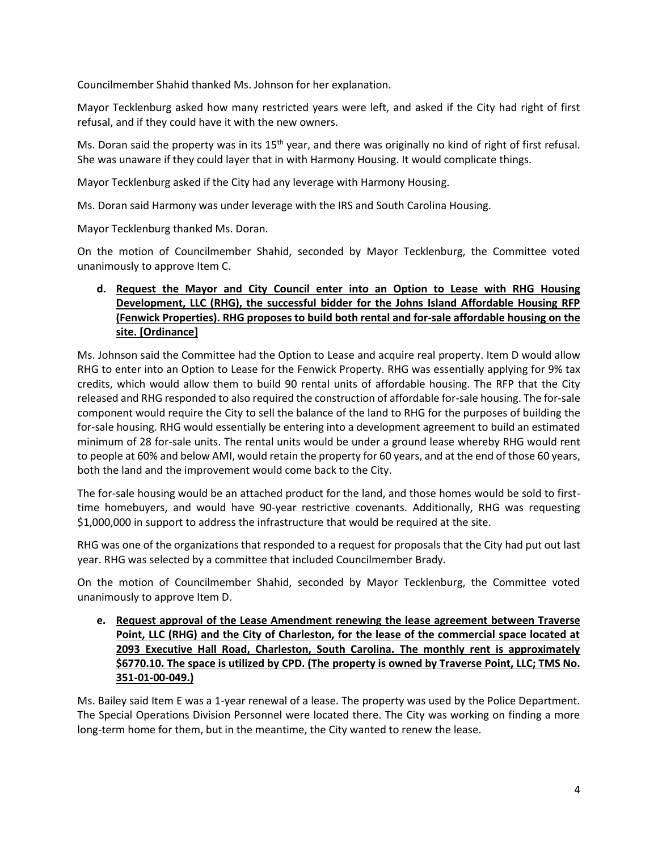Councilmember Shahid thanked Ms. Johnson for her explanation.

Mayor Tecklenburg asked how many restricted years were left, and asked if the City had right of first refusal, and if they could have it with the new owners.

Ms. Doran said the property was in its  $15<sup>th</sup>$  year, and there was originally no kind of right of first refusal. She was unaware if they could layer that in with Harmony Housing. It would complicate things.

Mayor Tecklenburg asked if the City had any leverage with Harmony Housing.

Ms. Doran said Harmony was under leverage with the IRS and South Carolina Housing.

Mayor Tecklenburg thanked Ms. Doran.

On the motion of Councilmember Shahid, seconded by Mayor Tecklenburg, the Committee voted unanimously to approve Item C.

## **d. Request the Mayor and City Council enter into an Option to Lease with RHG Housing Development, LLC (RHG), the successful bidder for the Johns Island Affordable Housing RFP (Fenwick Properties). RHG proposes to build both rental and for-sale affordable housing on the site. [Ordinance]**

Ms. Johnson said the Committee had the Option to Lease and acquire real property. Item D would allow RHG to enter into an Option to Lease for the Fenwick Property. RHG was essentially applying for 9% tax credits, which would allow them to build 90 rental units of affordable housing. The RFP that the City released and RHG responded to also required the construction of affordable for-sale housing. The for-sale component would require the City to sell the balance of the land to RHG for the purposes of building the for-sale housing. RHG would essentially be entering into a development agreement to build an estimated minimum of 28 for-sale units. The rental units would be under a ground lease whereby RHG would rent to people at 60% and below AMI, would retain the property for 60 years, and at the end of those 60 years, both the land and the improvement would come back to the City.

The for-sale housing would be an attached product for the land, and those homes would be sold to firsttime homebuyers, and would have 90-year restrictive covenants. Additionally, RHG was requesting \$1,000,000 in support to address the infrastructure that would be required at the site.

RHG was one of the organizations that responded to a request for proposals that the City had put out last year. RHG was selected by a committee that included Councilmember Brady.

On the motion of Councilmember Shahid, seconded by Mayor Tecklenburg, the Committee voted unanimously to approve Item D.

**e. Request approval of the Lease Amendment renewing the lease agreement between Traverse Point, LLC (RHG) and the City of Charleston, for the lease of the commercial space located at 2093 Executive Hall Road, Charleston, South Carolina. The monthly rent is approximately \$6770.10. The space is utilized by CPD. (The property is owned by Traverse Point, LLC; TMS No. 351-01-00-049.)**

Ms. Bailey said Item E was a 1-year renewal of a lease. The property was used by the Police Department. The Special Operations Division Personnel were located there. The City was working on finding a more long-term home for them, but in the meantime, the City wanted to renew the lease.